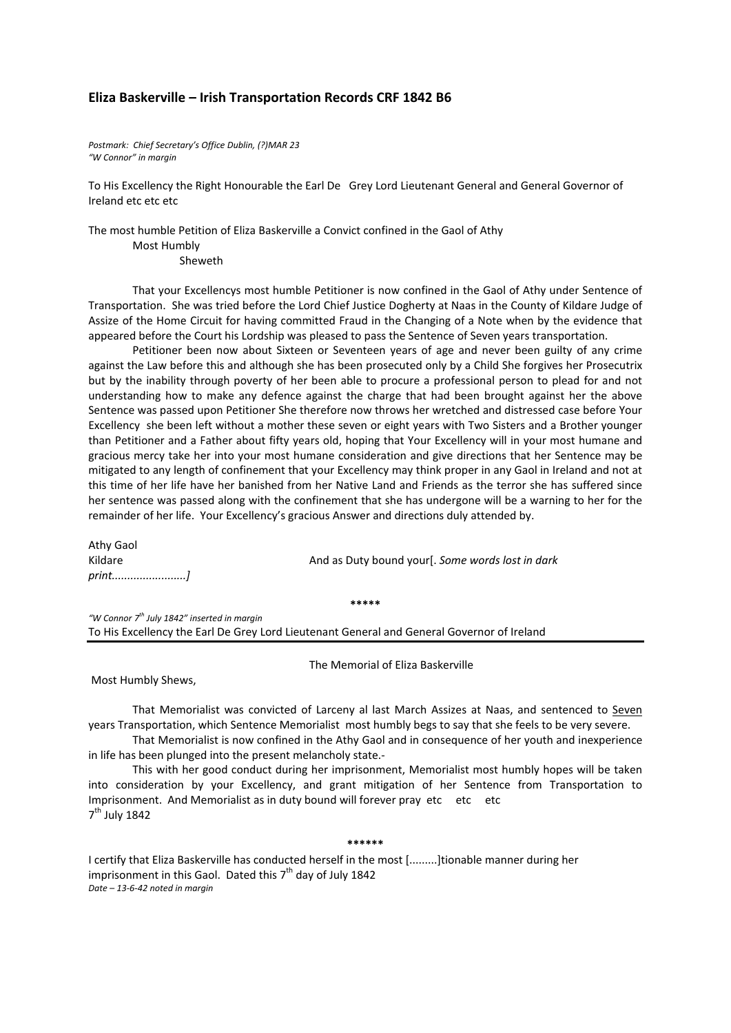## **Eliza Baskerville – Irish Transportation Records CRF 1842 B6**

*Postmark: Chief Secretary's Office Dublin, (?)MAR 23 "W Connor" in margin*

To His Excellency the Right Honourable the Earl De Grey Lord Lieutenant General and General Governor of Ireland etc etc etc

The most humble Petition of Eliza Baskerville a Convict confined in the Gaol of Athy

Most Humbly

Sheweth

That your Excellencys most humble Petitioner is now confined in the Gaol of Athy under Sentence of Transportation. She was tried before the Lord Chief Justice Dogherty at Naas in the County of Kildare Judge of Assize of the Home Circuit for having committed Fraud in the Changing of a Note when by the evidence that appeared before the Court his Lordship was pleased to pass the Sentence of Seven years transportation.

Petitioner been now about Sixteen or Seventeen years of age and never been guilty of any crime against the Law before this and although she has been prosecuted only by a Child She forgives her Prosecutrix but by the inability through poverty of her been able to procure a professional person to plead for and not understanding how to make any defence against the charge that had been brought against her the above Sentence was passed upon Petitioner She therefore now throws her wretched and distressed case before Your Excellency she been left without a mother these seven or eight years with Two Sisters and a Brother younger than Petitioner and a Father about fifty years old, hoping that Your Excellency will in your most humane and gracious mercy take her into your most humane consideration and give directions that her Sentence may be mitigated to any length of confinement that your Excellency may think proper in any Gaol in Ireland and not at this time of her life have her banished from her Native Land and Friends as the terror she has suffered since her sentence was passed along with the confinement that she has undergone will be a warning to her for the remainder of her life. Your Excellency's gracious Answer and directions duly attended by.

Athy Gaol Kildare And as Duty bound your[. *Some words lost in dark print........................]*

**\*\*\*\*\***

*"W Connor 7 th July 1842" inserted in margin* To His Excellency the Earl De Grey Lord Lieutenant General and General Governor of Ireland

The Memorial of Eliza Baskerville

Most Humbly Shews,

That Memorialist was convicted of Larceny al last March Assizes at Naas, and sentenced to Seven years Transportation, which Sentence Memorialist most humbly begs to say that she feels to be very severe.

That Memorialist is now confined in the Athy Gaol and in consequence of her youth and inexperience in life has been plunged into the present melancholy state.‐

This with her good conduct during her imprisonment, Memorialist most humbly hopes will be taken into consideration by your Excellency, and grant mitigation of her Sentence from Transportation to Imprisonment. And Memorialist as in duty bound will forever pray etc etc etc  $7<sup>th</sup>$  July 1842

**\*\*\*\*\*\***

I certify that Eliza Baskerville has conducted herself in the most [.........]tionable manner during her imprisonment in this Gaol. Dated this  $7<sup>th</sup>$  day of July 1842 *Date – 13‐6‐42 noted in margin*